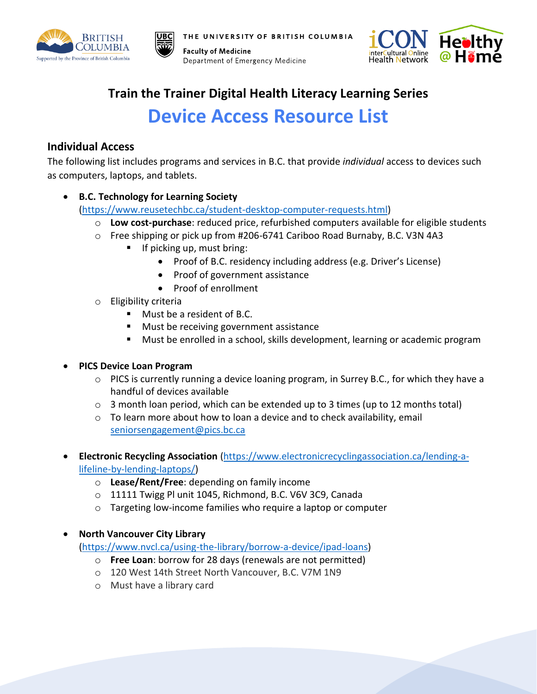

THE UNIVERSITY OF BRITISH COLUMBIA

**Faculty of Medicine** Department of Emergency Medicine



# **Train the Trainer Digital Health Literacy Learning Series Device Access Resource List**

## **Individual Access**

The following list includes programs and services in B.C. that provide *individual* access to devices such as computers, laptops, and tablets.

• **B.C. Technology for Learning Society**

[\(https://www.reusetechbc.ca/student-desktop-computer-requests.html\)](https://www.reusetechbc.ca/student-desktop-computer-requests.html)

- o **Low cost-purchase**: reduced price, refurbished computers available for eligible students
- o Free shipping or pick up from #206-6741 Cariboo Road Burnaby, B.C. V3N 4A3
	- **•** If picking up, must bring:
		- Proof of B.C. residency including address (e.g. Driver's License)
		- Proof of government assistance
		- Proof of enrollment
- o Eligibility criteria
	- Must be a resident of B.C.
	- Must be receiving government assistance
	- Must be enrolled in a school, skills development, learning or academic program
- **PICS Device Loan Program**
	- o PICS is currently running a device loaning program, in Surrey B.C., for which they have a handful of devices available
	- o 3 month loan period, which can be extended up to 3 times (up to 12 months total)
	- o To learn more about how to loan a device and to check availability, email [seniorsengagement@pics.bc.ca](mailto:seniorsengagement@pics.bc.ca)
- **Electronic Recycling Association** [\(https://www.electronicrecyclingassociation.ca/lending-a](https://www.electronicrecyclingassociation.ca/lending-a-lifeline-by-lending-laptops/)[lifeline-by-lending-laptops/\)](https://www.electronicrecyclingassociation.ca/lending-a-lifeline-by-lending-laptops/)
	- o **Lease/Rent/Free**: depending on family income
	- o 11111 Twigg Pl unit 1045, Richmond, B.C. V6V 3C9, Canada
	- o Targeting low-income families who require a laptop or computer

• **North Vancouver City Library**

[\(https://www.nvcl.ca/using-the-library/borrow-a-device/ipad-loans\)](https://www.nvcl.ca/using-the-library/borrow-a-device/ipad-loans)

- o **Free Loan**: borrow for 28 days (renewals are not permitted)
- o 120 West 14th Street North Vancouver, B.C. V7M 1N9
- o Must have a library card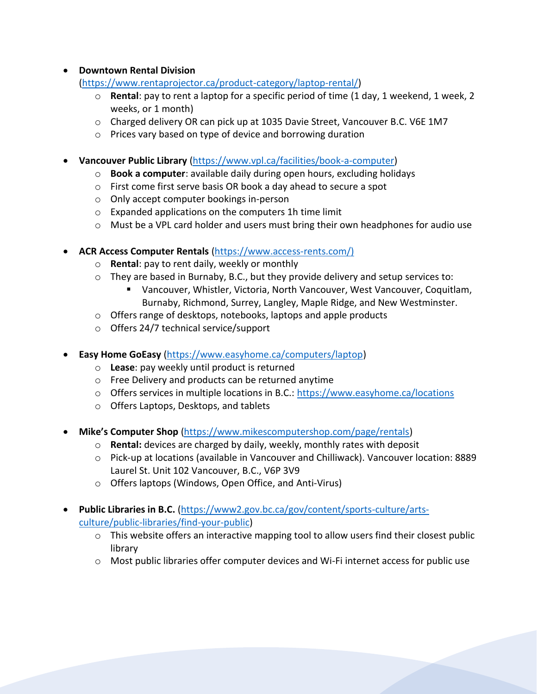#### • **Downtown Rental Division**

[\(https://www.rentaprojector.ca/product-category/laptop-rental/\)](https://www.rentaprojector.ca/product-category/laptop-rental/)

- o **Rental**: pay to rent a laptop for a specific period of time (1 day, 1 weekend, 1 week, 2 weeks, or 1 month)
- o Charged delivery OR can pick up at 1035 Davie Street, Vancouver B.C. V6E 1M7
- o Prices vary based on type of device and borrowing duration

• **Vancouver Public Library** [\(https://www.vpl.ca/facilities/book-a-computer\)](https://www.vpl.ca/facilities/book-a-computer)

- o **Book a computer**: available daily during open hours, excluding holidays
- o First come first serve basis OR book a day ahead to secure a spot
- o Only accept computer bookings in-person
- o Expanded applications on the computers 1h time limit
- $\circ$  Must be a VPL card holder and users must bring their own headphones for audio use
- **ACR Access Computer Rentals** [\(https://www.access-rents.com/\)](https://www.access-rents.com/)
	- o **Rental**: pay to rent daily, weekly or monthly
	- o They are based in Burnaby, B.C., but they provide delivery and setup services to:
		- Vancouver, Whistler, Victoria, North Vancouver, West Vancouver, Coquitlam, Burnaby, Richmond, Surrey, Langley, Maple Ridge, and New Westminster.
	- o Offers range of desktops, notebooks, laptops and apple products
	- o Offers 24/7 technical service/support
- **Easy Home GoEasy** [\(https://www.easyhome.ca/computers/laptop\)](https://www.easyhome.ca/computers/laptop)
	- o **Lease**: pay weekly until product is returned
	- o Free Delivery and products can be returned anytime
	- o Offers services in multiple locations in B.C.:<https://www.easyhome.ca/locations>
	- o Offers Laptops, Desktops, and tablets
- **Mike's Computer Shop** [\(https://www.mikescomputershop.com/page/rentals\)](https://www.mikescomputershop.com/page/rentals)
	- o **Rental:** devices are charged by daily, weekly, monthly rates with deposit
	- o Pick-up at locations (available in Vancouver and Chilliwack). Vancouver location: 8889 Laurel St. Unit 102 Vancouver, B.C., V6P 3V9
	- o Offers laptops (Windows, Open Office, and Anti-Virus)
- **Public Libraries in B.C.** [\(https://www2.gov.bc.ca/gov/content/sports-culture/arts](https://www2.gov.bc.ca/gov/content/sports-culture/arts-culture/public-libraries/find-your-public)[culture/public-libraries/find-your-public\)](https://www2.gov.bc.ca/gov/content/sports-culture/arts-culture/public-libraries/find-your-public)
	- o This website offers an interactive mapping tool to allow users find their closest public library
	- $\circ$  Most public libraries offer computer devices and Wi-Fi internet access for public use